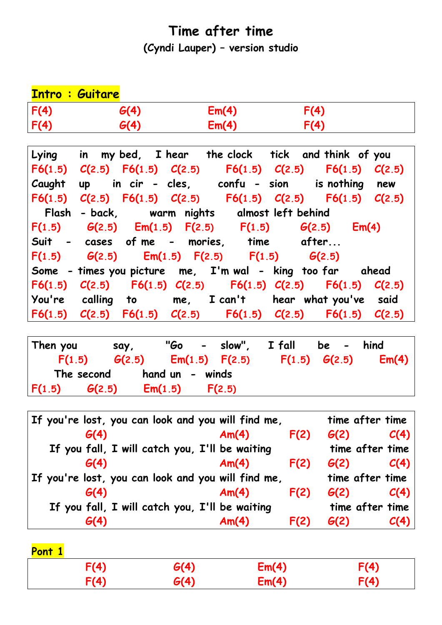## **Time after time**

**(Cyndi Lauper) – version studio**

|      | <b>Intro: Guitare</b> |       |      |  |
|------|-----------------------|-------|------|--|
| F(4) | G(4)                  | Em(4) | F(4) |  |
| F(4) | G(4)                  | Em(4) | F(4) |  |

|  |  | Lying in my bed, I hear the clock tick and think of you             |       |  |
|--|--|---------------------------------------------------------------------|-------|--|
|  |  | F6(1.5) $C(2.5)$ F6(1.5) $C(2.5)$ F6(1.5) $C(2.5)$ F6(1.5) $C(2.5)$ |       |  |
|  |  | Caught up in cir - cles, confu - sion is nothing new                |       |  |
|  |  | F6(1.5) $C(2.5)$ F6(1.5) $C(2.5)$ F6(1.5) $C(2.5)$ F6(1.5) $C(2.5)$ |       |  |
|  |  | Flash - back,     warm nights     almost left behind                |       |  |
|  |  | $F(1.5)$ $G(2.5)$ $Em(1.5)$ $F(2.5)$ $F(1.5)$ $G(2.5)$              | Em(4) |  |
|  |  | Suit - cases of me - mories, time after                             |       |  |
|  |  | $F(1.5)$ $G(2.5)$ $Em(1.5)$ $F(2.5)$ $F(1.5)$ $G(2.5)$              |       |  |
|  |  | Some - times you picture me, I'm wal - king too far ahead           |       |  |
|  |  | F6(1.5) $C(2.5)$ F6(1.5) $C(2.5)$ F6(1.5) $C(2.5)$ F6(1.5) $C(2.5)$ |       |  |
|  |  | You're calling to me, I can't hear what you've said                 |       |  |
|  |  | F6(1.5) $C(2.5)$ F6(1.5) $C(2.5)$ F6(1.5) $C(2.5)$ F6(1.5) $C(2.5)$ |       |  |

| Then you         | say,    | "Go –           |                    | slow",     I fall | be -              | hind  |
|------------------|---------|-----------------|--------------------|-------------------|-------------------|-------|
| F(1.5)           | G(2.5)  |                 | $Em(1.5)$ $F(2.5)$ |                   | $F(1.5)$ $G(2.5)$ | Em(4) |
| The second       |         | hand un - winds |                    |                   |                   |       |
| F(1.5)<br>G(2.5) | Em(1.5) |                 | F(2.5)             |                   |                   |       |

| Am(4)                                          | F(2) | G(2)                                                                                                     | C(4)                               |
|------------------------------------------------|------|----------------------------------------------------------------------------------------------------------|------------------------------------|
| If you fall, I will catch you, I'll be waiting |      |                                                                                                          | time after time                    |
| Am(4)                                          | F(2) | G(2)                                                                                                     | C(4)                               |
|                                                |      |                                                                                                          |                                    |
| Am(4)                                          | F(2) | G(2)                                                                                                     | C(4)                               |
| If you fall, I will catch you, I'll be waiting |      |                                                                                                          | time after time                    |
| Am(4)                                          | F(2) | G(2)                                                                                                     | C(4)                               |
|                                                |      | If you're lost, you can look and you will find me,<br>If you're lost, you can look and you will find me, | time after time<br>time after time |

| Pont 1 |      |      |       |      |
|--------|------|------|-------|------|
|        | F(4) | G(4) | Em(4) | F(4) |
|        | F(4) | G(4) | Em(4) | F(4) |